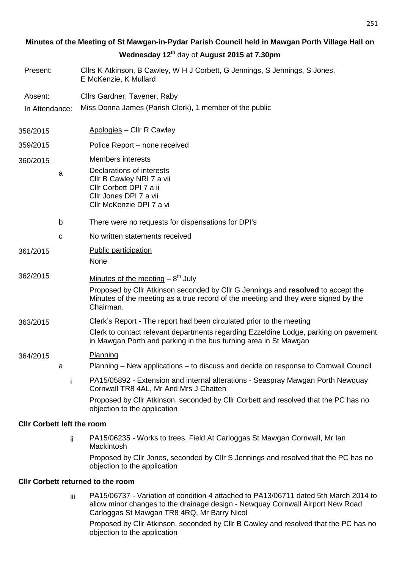# **Minutes of the Meeting of St Mawgan-in-Pydar Parish Council held in Mawgan Porth Village Hall on Wednesday 12th** day of **August 2015 at 7.30pm**

- Present: Cllrs K Atkinson, B Cawley, W H J Corbett, G Jennings, S Jennings, S Jones, E McKenzie, K Mullard
- Absent: Cllrs Gardner, Tavener, Raby
- In Attendance: Miss Donna James (Parish Clerk), 1 member of the public
- 358/2015 Apologies Cllr R Cawley
- 359/2015 Police Report none received
- 360/2015 Members interests
	- a Declarations of interests Cllr B Cawley NRI 7 a vii Cllr Corbett DPI 7 a ii Cllr Jones DPI 7 a vii Cllr McKenzie DPI 7 a vi
		- b There were no requests for dispensations for DPI's
	- c No written statements received
- 361/2015 Public participation None
- $362/2015$  Minutes of the meeting  $-8<sup>th</sup>$  July

Proposed by Cllr Atkinson seconded by Cllr G Jennings and **resolved** to accept the Minutes of the meeting as a true record of the meeting and they were signed by the Chairman.

- 363/2015 Clerk's Report The report had been circulated prior to the meeting
	- Clerk to contact relevant departments regarding Ezzeldine Lodge, parking on pavement in Mawgan Porth and parking in the bus turning area in St Mawgan

# 364/2015 Planning

- a Planning New applications to discuss and decide on response to Cornwall Council
	- i PA15/05892 Extension and internal alterations Seaspray Mawgan Porth Newquay Cornwall TR8 4AL, Mr And Mrs J Chatten Proposed by Cllr Atkinson, seconded by Cllr Corbett and resolved that the PC has no objection to the application

# **Cllr Corbett left the room**

ii PA15/06235 - Works to trees, Field At Carloggas St Mawgan Cornwall, Mr Ian **Mackintosh** Proposed by Cllr Jones, seconded by Cllr S Jennings and resolved that the PC has no objection to the application

# **Cllr Corbett returned to the room**

iii PA15/06737 - Variation of condition 4 attached to PA13/06711 dated 5th March 2014 to allow minor changes to the drainage design - Newquay Cornwall Airport New Road Carloggas St Mawgan TR8 4RQ, Mr Barry Nicol

Proposed by Cllr Atkinson, seconded by Cllr B Cawley and resolved that the PC has no objection to the application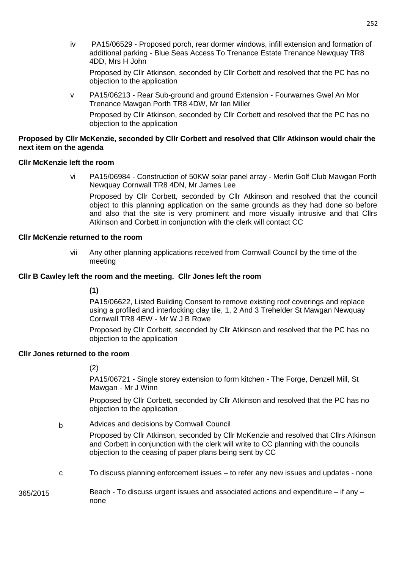iv PA15/06529 - Proposed porch, rear dormer windows, infill extension and formation of additional parking - Blue Seas Access To Trenance Estate Trenance Newquay TR8 4DD, Mrs H John

Proposed by Cllr Atkinson, seconded by Cllr Corbett and resolved that the PC has no objection to the application

v PA15/06213 - Rear Sub-ground and ground Extension - Fourwarnes Gwel An Mor Trenance Mawgan Porth TR8 4DW, Mr Ian Miller

Proposed by Cllr Atkinson, seconded by Cllr Corbett and resolved that the PC has no objection to the application

### **Proposed by Cllr McKenzie, seconded by Cllr Corbett and resolved that Cllr Atkinson would chair the next item on the agenda**

# **Cllr McKenzie left the room**

vi PA15/06984 - Construction of 50KW solar panel array - Merlin Golf Club Mawgan Porth Newquay Cornwall TR8 4DN, Mr James Lee

Proposed by Cllr Corbett, seconded by Cllr Atkinson and resolved that the council object to this planning application on the same grounds as they had done so before and also that the site is very prominent and more visually intrusive and that Cllrs Atkinson and Corbett in conjunction with the clerk will contact CC

#### **Cllr McKenzie returned to the room**

vii Any other planning applications received from Cornwall Council by the time of the meeting

#### **Cllr B Cawley left the room and the meeting. Cllr Jones left the room**

# **(1)**

PA15/06622, Listed Building Consent to remove existing roof coverings and replace using a profiled and interlocking clay tile, 1, 2 And 3 Trehelder St Mawgan Newquay Cornwall TR8 4EW - Mr W J B Rowe

Proposed by Cllr Corbett, seconded by Cllr Atkinson and resolved that the PC has no objection to the application

### **Cllr Jones returned to the room**

# (2)

PA15/06721 - Single storey extension to form kitchen - The Forge, Denzell Mill, St Mawgan - Mr J Winn

Proposed by Cllr Corbett, seconded by Cllr Atkinson and resolved that the PC has no objection to the application

b Advices and decisions by Cornwall Council

Proposed by Cllr Atkinson, seconded by Cllr McKenzie and resolved that Cllrs Atkinson and Corbett in conjunction with the clerk will write to CC planning with the councils objection to the ceasing of paper plans being sent by CC

c To discuss planning enforcement issues – to refer any new issues and updates - none

365/2015 Beach - To discuss urgent issues and associated actions and expenditure – if any – none